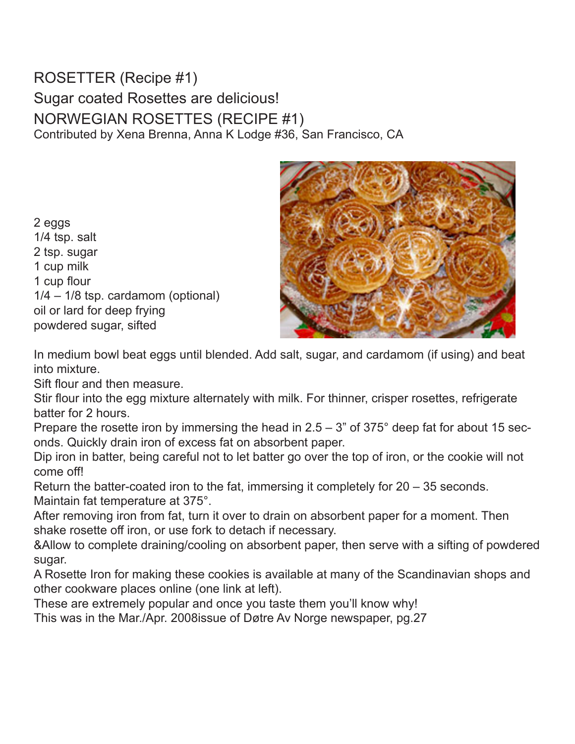## ROSETTER (Recipe #1) Sugar coated Rosettes are delicious! NORWEGIAN ROSETTES (RECIPE #1) Contributed by Xena Brenna, Anna K Lodge #36, San Francisco, CA

2 eggs 1/4 tsp. salt 2 tsp. sugar 1 cup milk 1 cup flour 1/4 – 1/8 tsp. cardamom (optional) oil or lard for deep frying powdered sugar, sifted



In medium bowl beat eggs until blended. Add salt, sugar, and cardamom (if using) and beat into mixture.

Sift flour and then measure.

Stir flour into the egg mixture alternately with milk. For thinner, crisper rosettes, refrigerate batter for 2 hours.

Prepare the rosette iron by immersing the head in 2.5 – 3" of 375° deep fat for about 15 seconds. Quickly drain iron of excess fat on absorbent paper.

Dip iron in batter, being careful not to let batter go over the top of iron, or the cookie will not come off!

Return the batter-coated iron to the fat, immersing it completely for 20 – 35 seconds. Maintain fat temperature at 375°.

After removing iron from fat, turn it over to drain on absorbent paper for a moment. Then shake rosette off iron, or use fork to detach if necessary.

&Allow to complete draining/cooling on absorbent paper, then serve with a sifting of powdered sugar.

A Rosette Iron for making these cookies is available at many of the Scandinavian shops and other cookware places online (one link at left).

These are extremely popular and once you taste them you'll know why!

This was in the Mar./Apr. 2008issue of Døtre Av Norge newspaper, pg.27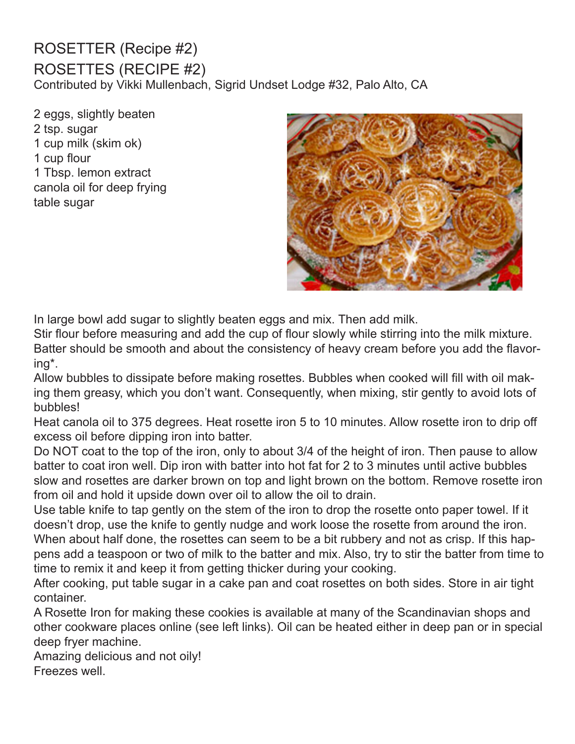# ROSETTER (Recipe #2)

ROSETTES (RECIPE #2) Contributed by Vikki Mullenbach, Sigrid Undset Lodge #32, Palo Alto, CA

2 eggs, slightly beaten 2 tsp. sugar 1 cup milk (skim ok) 1 cup flour 1 Tbsp. lemon extract canola oil for deep frying table sugar



In large bowl add sugar to slightly beaten eggs and mix. Then add milk.

Stir flour before measuring and add the cup of flour slowly while stirring into the milk mixture. Batter should be smooth and about the consistency of heavy cream before you add the flavoring\*.

Allow bubbles to dissipate before making rosettes. Bubbles when cooked will fill with oil making them greasy, which you don't want. Consequently, when mixing, stir gently to avoid lots of bubbles!

Heat canola oil to 375 degrees. Heat rosette iron 5 to 10 minutes. Allow rosette iron to drip off excess oil before dipping iron into batter.

Do NOT coat to the top of the iron, only to about 3/4 of the height of iron. Then pause to allow batter to coat iron well. Dip iron with batter into hot fat for 2 to 3 minutes until active bubbles slow and rosettes are darker brown on top and light brown on the bottom. Remove rosette iron from oil and hold it upside down over oil to allow the oil to drain.

Use table knife to tap gently on the stem of the iron to drop the rosette onto paper towel. If it doesn't drop, use the knife to gently nudge and work loose the rosette from around the iron. When about half done, the rosettes can seem to be a bit rubbery and not as crisp. If this happens add a teaspoon or two of milk to the batter and mix. Also, try to stir the batter from time to time to remix it and keep it from getting thicker during your cooking.

After cooking, put table sugar in a cake pan and coat rosettes on both sides. Store in air tight container.

A Rosette Iron for making these cookies is available at many of the Scandinavian shops and other cookware places online (see left links). Oil can be heated either in deep pan or in special deep fryer machine.

Amazing delicious and not oily! Freezes well.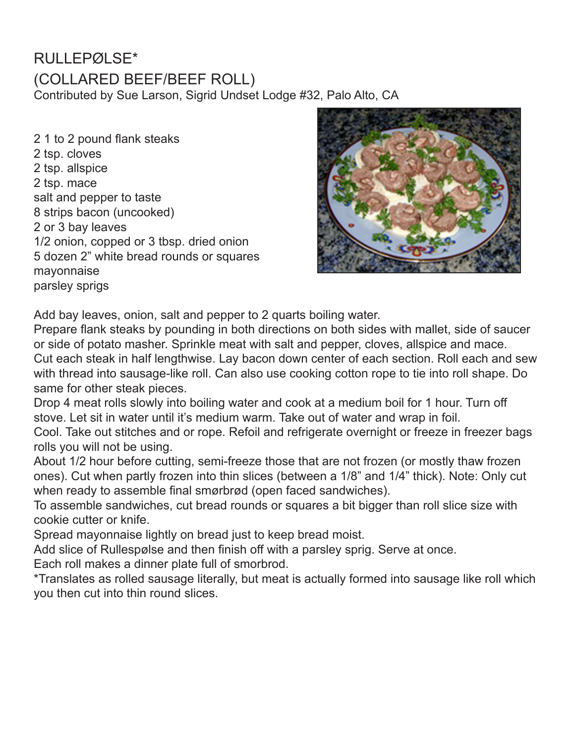## RULLEPØLSE\* (COLLARED BEEF/BEEF ROLL) Contributed by Sue Larson, Sigrid Undset Lodge #32, Palo Alto, CA

2 1 to 2 pound flank steaks 2 tsp. cloves 2 tsp. allspice 2 tsp. mace salt and pepper to taste 8 strips bacon (uncooked) 2 or 3 bay leaves 1/2 onion, copped or 3 tbsp. dried onion 5 dozen 2" white bread rounds or squares mayonnaise parsley sprigs



Add bay leaves, onion, salt and pepper to 2 quarts boiling water.

Prepare flank steaks by pounding in both directions on both sides with mallet, side of saucer or side of potato masher. Sprinkle meat with salt and pepper, cloves, allspice and mace. Cut each steak in half lengthwise. Lay bacon down center of each section. Roll each and sew with thread into sausage-like roll. Can also use cooking cotton rope to tie into roll shape. Do same for other steak pieces.

Drop 4 meat rolls slowly into boiling water and cook at a medium boil for 1 hour. Turn off stove. Let sit in water until it's medium warm. Take out of water and wrap in foil.

Cool. Take out stitches and or rope. Refoil and refrigerate overnight or freeze in freezer bags rolls you will not be using.

About 1/2 hour before cutting, semi-freeze those that are not frozen (or mostly thaw frozen ones). Cut when partly frozen into thin slices (between a 1/8" and 1/4" thick). Note: Only cut when ready to assemble final smørbrød (open faced sandwiches).

To assemble sandwiches, cut bread rounds or squares a bit bigger than roll slice size with cookie cutter or knife.

Spread mayonnaise lightly on bread just to keep bread moist.

Add slice of Rullespølse and then finish off with a parsley sprig. Serve at once.

Each roll makes a dinner plate full of smorbrod.

\*Translates as rolled sausage literally, but meat is actually formed into sausage like roll which you then cut into thin round slices.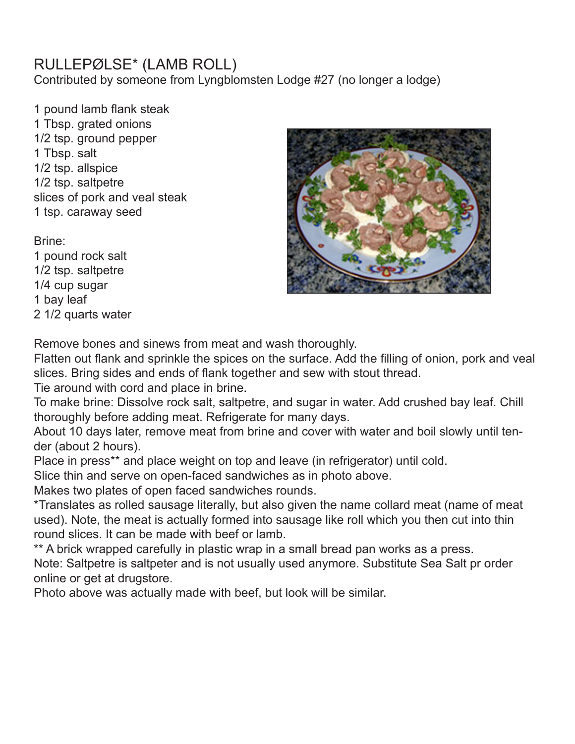# RULLEPØLSE\* (LAMB ROLL)

Contributed by someone from Lyngblomsten Lodge #27 (no longer a lodge)

1 pound lamb flank steak 1 Tbsp. grated onions 1/2 tsp. ground pepper 1 Tbsp. salt 1/2 tsp. allspice 1/2 tsp. saltpetre slices of pork and veal steak 1 tsp. caraway seed

Brine:

1 pound rock salt 1/2 tsp. saltpetre 1/4 cup sugar 1 bay leaf 2 1/2 quarts water



Remove bones and sinews from meat and wash thoroughly.

Flatten out flank and sprinkle the spices on the surface. Add the filling of onion, pork and veal slices. Bring sides and ends of flank together and sew with stout thread.

Tie around with cord and place in brine.

To make brine: Dissolve rock salt, saltpetre, and sugar in water. Add crushed bay leaf. Chill thoroughly before adding meat. Refrigerate for many days.

About 10 days later, remove meat from brine and cover with water and boil slowly until tender (about 2 hours).

Place in press\*\* and place weight on top and leave (in refrigerator) until cold.

Slice thin and serve on open-faced sandwiches as in photo above.

Makes two plates of open faced sandwiches rounds.

\*Translates as rolled sausage literally, but also given the name collard meat (name of meat used). Note, the meat is actually formed into sausage like roll which you then cut into thin round slices. It can be made with beef or lamb.

\*\* A brick wrapped carefully in plastic wrap in a small bread pan works as a press.

Note: Saltpetre is saltpeter and is not usually used anymore. Substitute Sea Salt pr order online or get at drugstore.

Photo above was actually made with beef, but look will be similar.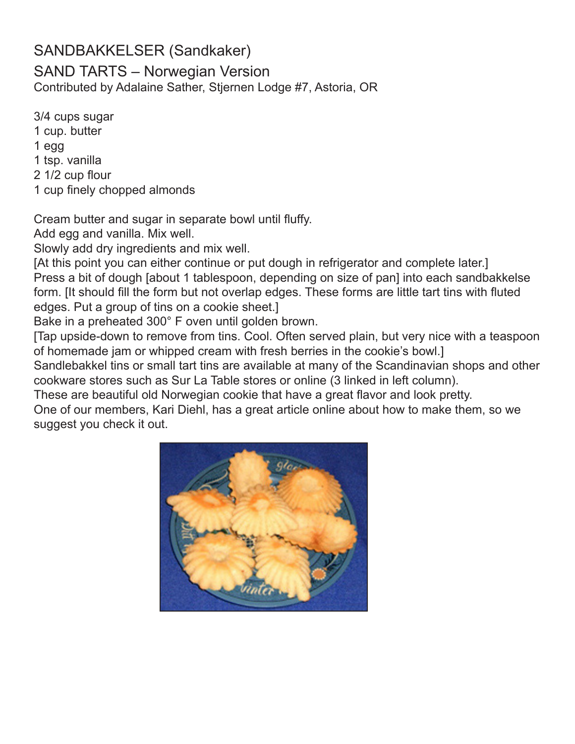# SANDBAKKELSER (Sandkaker)

SAND TARTS – Norwegian Version Contributed by Adalaine Sather, Stjernen Lodge #7, Astoria, OR

3/4 cups sugar 1 cup. butter 1 egg 1 tsp. vanilla 2 1/2 cup flour 1 cup finely chopped almonds

Cream butter and sugar in separate bowl until fluffy.

Add egg and vanilla. Mix well.

Slowly add dry ingredients and mix well.

[At this point you can either continue or put dough in refrigerator and complete later.] Press a bit of dough [about 1 tablespoon, depending on size of pan] into each sandbakkelse form. [It should fill the form but not overlap edges. These forms are little tart tins with fluted edges. Put a group of tins on a cookie sheet.]

Bake in a preheated 300° F oven until golden brown.

[Tap upside-down to remove from tins. Cool. Often served plain, but very nice with a teaspoon of homemade jam or whipped cream with fresh berries in the cookie's bowl.]

Sandlebakkel tins or small tart tins are available at many of the Scandinavian shops and other cookware stores such as Sur La Table stores or online (3 linked in left column).

These are beautiful old Norwegian cookie that have a great flavor and look pretty.

One of our members, Kari Diehl, has a great article online about how to make them, so we suggest you check it out.

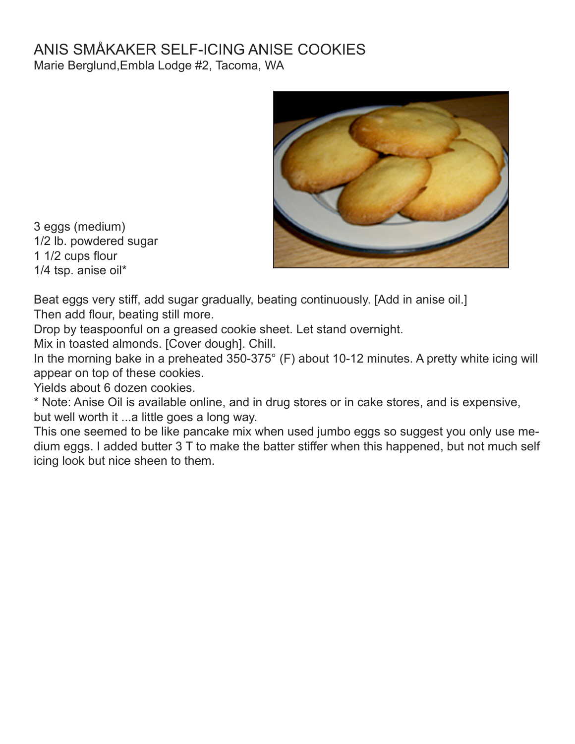#### ANIS SMÅKAKER SELF-ICING ANISE COOKIES Marie Berglund,Embla Lodge #2, Tacoma, WA



3 eggs (medium) 1/2 lb. powdered sugar 1 1/2 cups flour 1/4 tsp. anise oil\*

Beat eggs very stiff, add sugar gradually, beating continuously. [Add in anise oil.] Then add flour, beating still more.

Drop by teaspoonful on a greased cookie sheet. Let stand overnight.

Mix in toasted almonds. [Cover dough]. Chill.

In the morning bake in a preheated 350-375° (F) about 10-12 minutes. A pretty white icing will appear on top of these cookies.

Yields about 6 dozen cookies.

\* Note: Anise Oil is available online, and in drug stores or in cake stores, and is expensive, but well worth it ...a little goes a long way.

This one seemed to be like pancake mix when used jumbo eggs so suggest you only use medium eggs. I added butter 3 T to make the batter stiffer when this happened, but not much self icing look but nice sheen to them.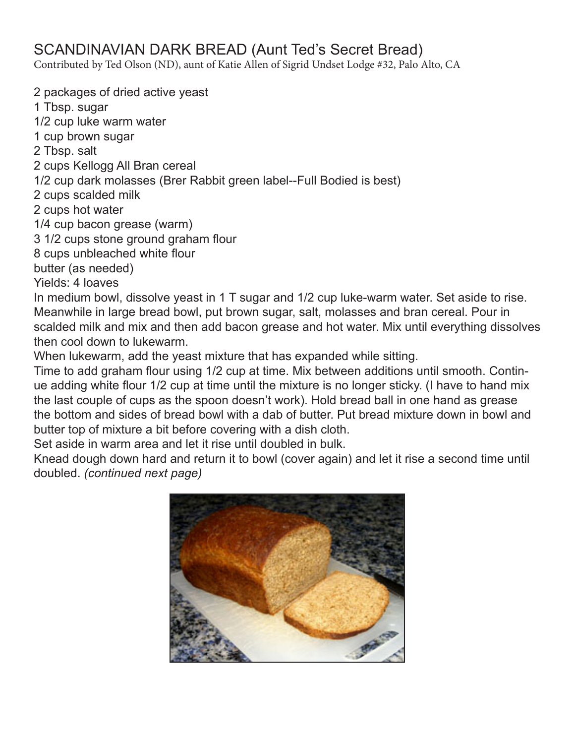# SCANDINAVIAN DARK BREAD (Aunt Ted's Secret Bread)

Contributed by Ted Olson (ND), aunt of Katie Allen of Sigrid Undset Lodge #32, Palo Alto, CA

2 packages of dried active yeast 1 Tbsp. sugar 1/2 cup luke warm water 1 cup brown sugar 2 Tbsp. salt 2 cups Kellogg All Bran cereal 1/2 cup dark molasses (Brer Rabbit green label--Full Bodied is best) 2 cups scalded milk 2 cups hot water 1/4 cup bacon grease (warm) 3 1/2 cups stone ground graham flour 8 cups unbleached white flour butter (as needed) Yields: 4 loaves In medium bowl, dissolve yeast in 1 T sugar and 1/2 cup luke-warm water. Set aside to rise. Meanwhile in large bread bowl, put brown sugar, salt, molasses and bran cereal. Pour in scalded milk and mix and then add bacon grease and hot water. Mix until everything dissolves

then cool down to lukewarm.

When lukewarm, add the yeast mixture that has expanded while sitting.

Time to add graham flour using 1/2 cup at time. Mix between additions until smooth. Continue adding white flour 1/2 cup at time until the mixture is no longer sticky. (I have to hand mix the last couple of cups as the spoon doesn't work). Hold bread ball in one hand as grease the bottom and sides of bread bowl with a dab of butter. Put bread mixture down in bowl and butter top of mixture a bit before covering with a dish cloth.

Set aside in warm area and let it rise until doubled in bulk.

Knead dough down hard and return it to bowl (cover again) and let it rise a second time until doubled. *(continued next page)*

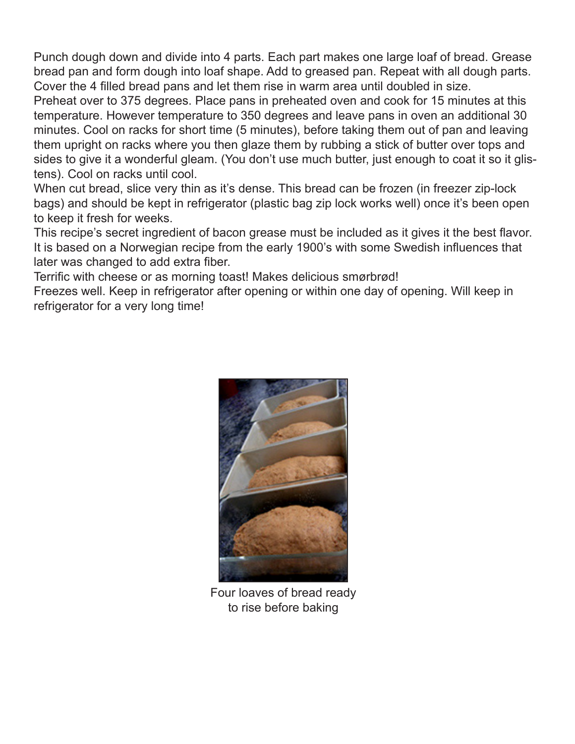Punch dough down and divide into 4 parts. Each part makes one large loaf of bread. Grease bread pan and form dough into loaf shape. Add to greased pan. Repeat with all dough parts. Cover the 4 filled bread pans and let them rise in warm area until doubled in size.

Preheat over to 375 degrees. Place pans in preheated oven and cook for 15 minutes at this temperature. However temperature to 350 degrees and leave pans in oven an additional 30 minutes. Cool on racks for short time (5 minutes), before taking them out of pan and leaving them upright on racks where you then glaze them by rubbing a stick of butter over tops and sides to give it a wonderful gleam. (You don't use much butter, just enough to coat it so it glistens). Cool on racks until cool.

When cut bread, slice very thin as it's dense. This bread can be frozen (in freezer zip-lock bags) and should be kept in refrigerator (plastic bag zip lock works well) once it's been open to keep it fresh for weeks.

This recipe's secret ingredient of bacon grease must be included as it gives it the best flavor. It is based on a Norwegian recipe from the early 1900's with some Swedish influences that later was changed to add extra fiber.

Terrific with cheese or as morning toast! Makes delicious smørbrød!

Freezes well. Keep in refrigerator after opening or within one day of opening. Will keep in refrigerator for a very long time!



Four loaves of bread ready to rise before baking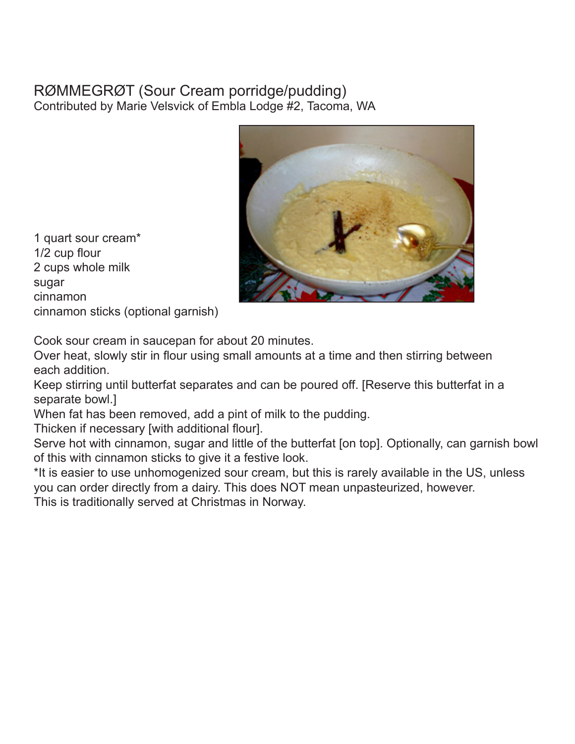#### RØMMEGRØT (Sour Cream porridge/pudding) Contributed by Marie Velsvick of Embla Lodge #2, Tacoma, WA



1 quart sour cream\* 1/2 cup flour 2 cups whole milk sugar cinnamon cinnamon sticks (optional garnish)

Cook sour cream in saucepan for about 20 minutes.

Over heat, slowly stir in flour using small amounts at a time and then stirring between each addition.

Keep stirring until butterfat separates and can be poured off. [Reserve this butterfat in a separate bowl.]

When fat has been removed, add a pint of milk to the pudding.

Thicken if necessary [with additional flour].

Serve hot with cinnamon, sugar and little of the butterfat [on top]. Optionally, can garnish bowl of this with cinnamon sticks to give it a festive look.

\*It is easier to use unhomogenized sour cream, but this is rarely available in the US, unless you can order directly from a dairy. This does NOT mean unpasteurized, however.

This is traditionally served at Christmas in Norway.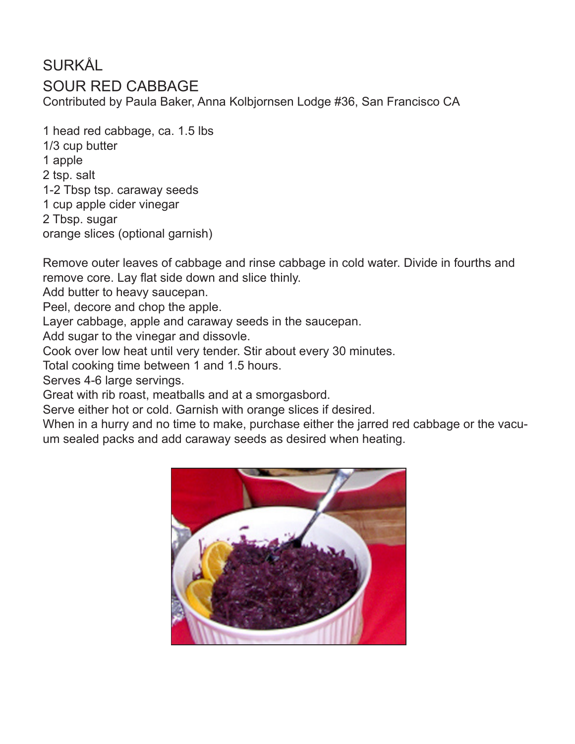# SURKÅL SOUR RED CABBAGE Contributed by Paula Baker, Anna Kolbjornsen Lodge #36, San Francisco CA

1 head red cabbage, ca. 1.5 lbs 1/3 cup butter 1 apple 2 tsp. salt 1-2 Tbsp tsp. caraway seeds 1 cup apple cider vinegar 2 Tbsp. sugar orange slices (optional garnish)

Remove outer leaves of cabbage and rinse cabbage in cold water. Divide in fourths and remove core. Lay flat side down and slice thinly.

Add butter to heavy saucepan.

Peel, decore and chop the apple.

Layer cabbage, apple and caraway seeds in the saucepan.

Add sugar to the vinegar and dissovle.

Cook over low heat until very tender. Stir about every 30 minutes.

Total cooking time between 1 and 1.5 hours.

Serves 4-6 large servings.

Great with rib roast, meatballs and at a smorgasbord.

Serve either hot or cold. Garnish with orange slices if desired.

When in a hurry and no time to make, purchase either the jarred red cabbage or the vacuum sealed packs and add caraway seeds as desired when heating.

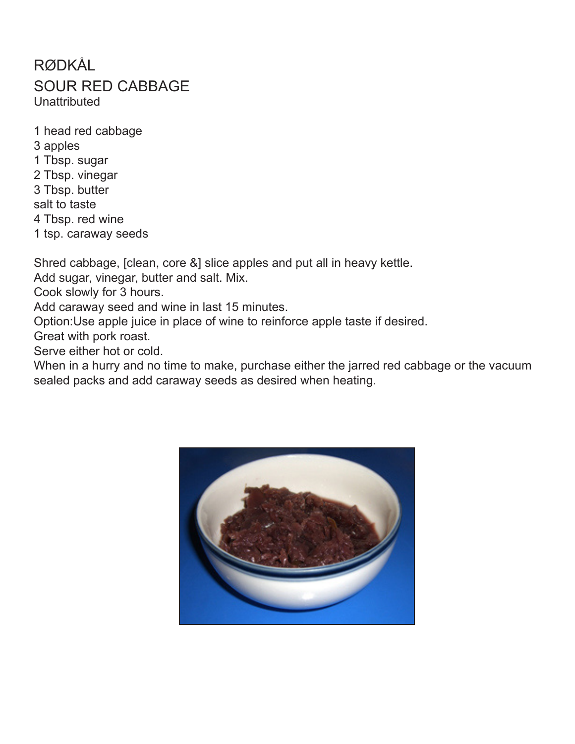### RØDKÅL SOUR RED CABBAGE **Unattributed**

1 head red cabbage 3 apples 1 Tbsp. sugar 2 Tbsp. vinegar 3 Tbsp. butter salt to taste 4 Tbsp. red wine 1 tsp. caraway seeds

Shred cabbage, [clean, core &] slice apples and put all in heavy kettle. Add sugar, vinegar, butter and salt. Mix. Cook slowly for 3 hours. Add caraway seed and wine in last 15 minutes. Option:Use apple juice in place of wine to reinforce apple taste if desired. Great with pork roast. Serve either hot or cold. When in a hurry and no time to make, purchase either the jarred red cabbage or the vacuum sealed packs and add caraway seeds as desired when heating.

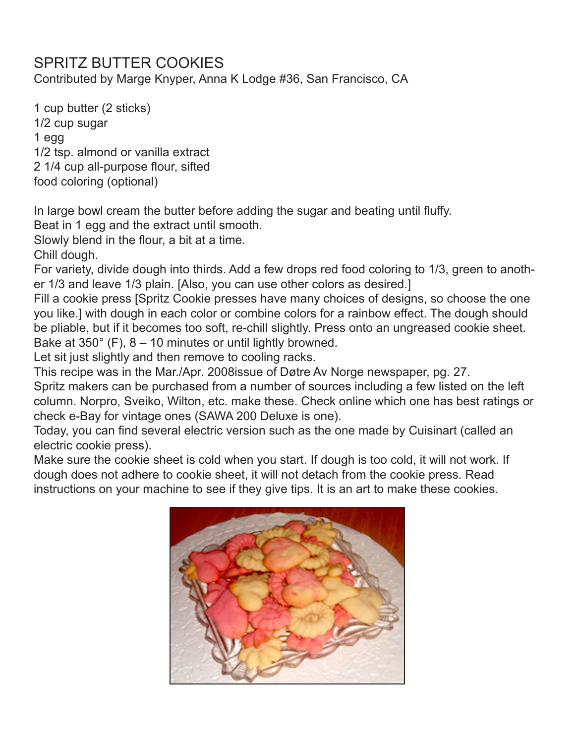# SPRITZ BUTTER COOKIES

Contributed by Marge Knyper, Anna K Lodge #36, San Francisco, CA

1 cup butter (2 sticks) 1/2 cup sugar 1 egg 1/2 tsp. almond or vanilla extract 2 1/4 cup all-purpose flour, sifted food coloring (optional)

In large bowl cream the butter before adding the sugar and beating until fluffy.

Beat in 1 egg and the extract until smooth.

Slowly blend in the flour, a bit at a time.

Chill dough.

For variety, divide dough into thirds. Add a few drops red food coloring to 1/3, green to another 1/3 and leave 1/3 plain. [Also, you can use other colors as desired.]

Fill a cookie press [Spritz Cookie presses have many choices of designs, so choose the one you like.] with dough in each color or combine colors for a rainbow effect. The dough should be pliable, but if it becomes too soft, re-chill slightly. Press onto an ungreased cookie sheet. Bake at  $350^{\circ}$  (F),  $8 - 10$  minutes or until lightly browned.

Let sit just slightly and then remove to cooling racks.

This recipe was in the Mar./Apr. 2008issue of Døtre Av Norge newspaper, pg. 27.

Spritz makers can be purchased from a number of sources including a few listed on the left column. Norpro, Sveiko, Wilton, etc. make these. Check online which one has best ratings or check e-Bay for vintage ones (SAWA 200 Deluxe is one).

Today, you can find several electric version such as the one made by Cuisinart (called an electric cookie press).

Make sure the cookie sheet is cold when you start. If dough is too cold, it will not work. If dough does not adhere to cookie sheet, it will not detach from the cookie press. Read instructions on your machine to see if they give tips. It is an art to make these cookies.

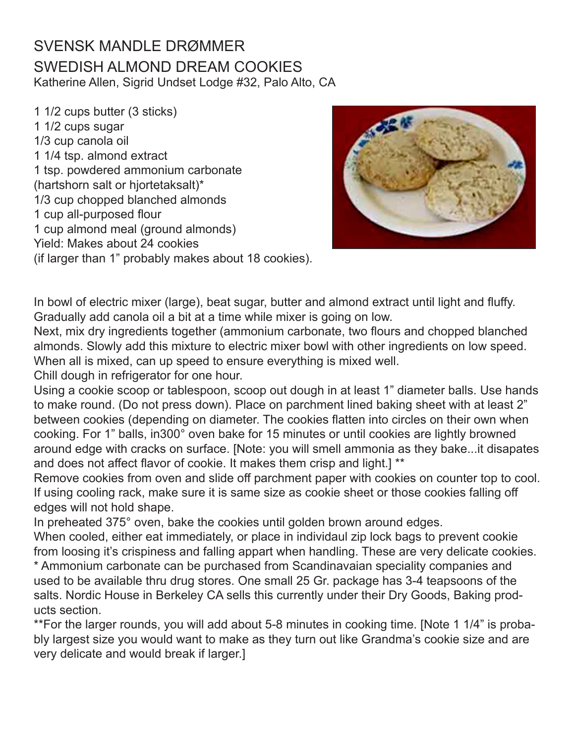## SVENSK MANDLE DRØMMER SWEDISH ALMOND DREAM COOKIES Katherine Allen, Sigrid Undset Lodge #32, Palo Alto, CA

1 1/2 cups butter (3 sticks) 1 1/2 cups sugar 1/3 cup canola oil 1 1/4 tsp. almond extract 1 tsp. powdered ammonium carbonate (hartshorn salt or hjortetaksalt)\* 1/3 cup chopped blanched almonds 1 cup all-purposed flour 1 cup almond meal (ground almonds) Yield: Makes about 24 cookies



(if larger than 1" probably makes about 18 cookies).

In bowl of electric mixer (large), beat sugar, butter and almond extract until light and fluffy. Gradually add canola oil a bit at a time while mixer is going on low.

Next, mix dry ingredients together (ammonium carbonate, two flours and chopped blanched almonds. Slowly add this mixture to electric mixer bowl with other ingredients on low speed. When all is mixed, can up speed to ensure everything is mixed well.

Chill dough in refrigerator for one hour.

Using a cookie scoop or tablespoon, scoop out dough in at least 1" diameter balls. Use hands to make round. (Do not press down). Place on parchment lined baking sheet with at least 2" between cookies (depending on diameter. The cookies flatten into circles on their own when cooking. For 1" balls, in300° oven bake for 15 minutes or until cookies are lightly browned around edge with cracks on surface. [Note: you will smell ammonia as they bake...it disapates and does not affect flavor of cookie. It makes them crisp and light.] \*\*

Remove cookies from oven and slide off parchment paper with cookies on counter top to cool. If using cooling rack, make sure it is same size as cookie sheet or those cookies falling off edges will not hold shape.

In preheated 375° oven, bake the cookies until golden brown around edges.

When cooled, either eat immediately, or place in individaul zip lock bags to prevent cookie from loosing it's crispiness and falling appart when handling. These are very delicate cookies.

\* Ammonium carbonate can be purchased from Scandinavaian speciality companies and used to be available thru drug stores. One small 25 Gr. package has 3-4 teapsoons of the salts. Nordic House in Berkeley CA sells this currently under their Dry Goods, Baking products section.

\*\*For the larger rounds, you will add about 5-8 minutes in cooking time. [Note 1 1/4" is probably largest size you would want to make as they turn out like Grandma's cookie size and are very delicate and would break if larger.]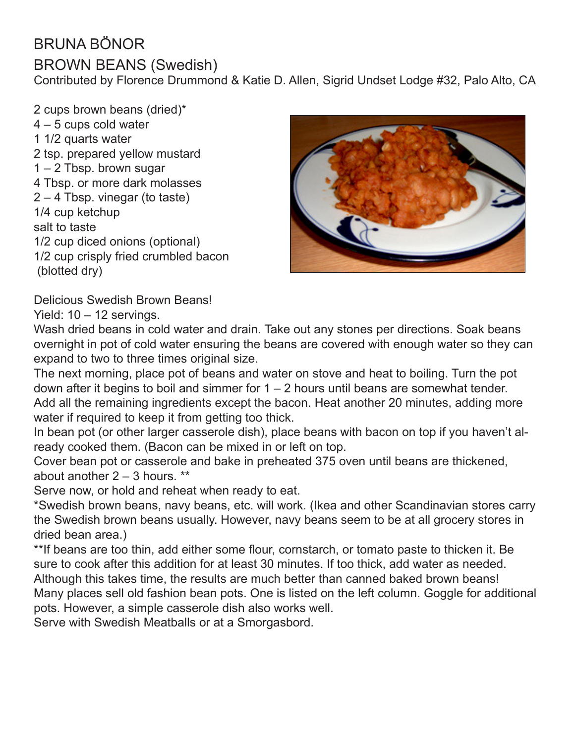# BRUNA BÖNOR BROWN BEANS (Swedish)

Contributed by Florence Drummond & Katie D. Allen, Sigrid Undset Lodge #32, Palo Alto, CA

2 cups brown beans (dried)\* 4 – 5 cups cold water 1 1/2 quarts water 2 tsp. prepared yellow mustard 1 – 2 Tbsp. brown sugar 4 Tbsp. or more dark molasses 2 – 4 Tbsp. vinegar (to taste) 1/4 cup ketchup salt to taste 1/2 cup diced onions (optional) 1/2 cup crisply fried crumbled bacon (blotted dry)



Delicious Swedish Brown Beans!

Yield:  $10 - 12$  servings.

Wash dried beans in cold water and drain. Take out any stones per directions. Soak beans overnight in pot of cold water ensuring the beans are covered with enough water so they can expand to two to three times original size.

The next morning, place pot of beans and water on stove and heat to boiling. Turn the pot down after it begins to boil and simmer for  $1 - 2$  hours until beans are somewhat tender. Add all the remaining ingredients except the bacon. Heat another 20 minutes, adding more water if required to keep it from getting too thick.

In bean pot (or other larger casserole dish), place beans with bacon on top if you haven't already cooked them. (Bacon can be mixed in or left on top.

Cover bean pot or casserole and bake in preheated 375 oven until beans are thickened, about another  $2 - 3$  hours. \*\*

Serve now, or hold and reheat when ready to eat.

\*Swedish brown beans, navy beans, etc. will work. (Ikea and other Scandinavian stores carry the Swedish brown beans usually. However, navy beans seem to be at all grocery stores in dried bean area.)

\*\*If beans are too thin, add either some flour, cornstarch, or tomato paste to thicken it. Be sure to cook after this addition for at least 30 minutes. If too thick, add water as needed. Although this takes time, the results are much better than canned baked brown beans! Many places sell old fashion bean pots. One is listed on the left column. Goggle for additional

pots. However, a simple casserole dish also works well.

Serve with Swedish Meatballs or at a Smorgasbord.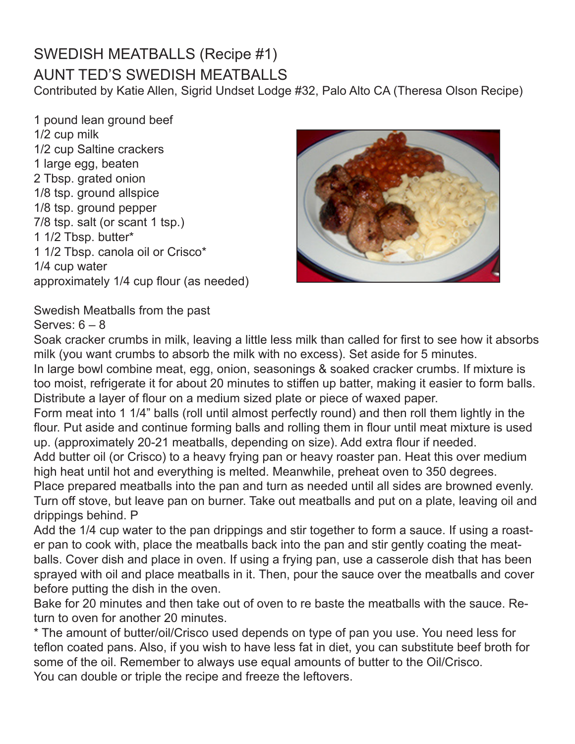# SWEDISH MEATBALLS (Recipe #1)

# AUNT TED'S SWEDISH MEATBALLS

Contributed by Katie Allen, Sigrid Undset Lodge #32, Palo Alto CA (Theresa Olson Recipe)

1 pound lean ground beef 1/2 cup milk 1/2 cup Saltine crackers 1 large egg, beaten 2 Tbsp. grated onion 1/8 tsp. ground allspice 1/8 tsp. ground pepper 7/8 tsp. salt (or scant 1 tsp.) 1 1/2 Tbsp. butter\* 1 1/2 Tbsp. canola oil or Crisco\* 1/4 cup water approximately 1/4 cup flour (as needed)



Swedish Meatballs from the past

#### Serves:  $6 - 8$

Soak cracker crumbs in milk, leaving a little less milk than called for first to see how it absorbs milk (you want crumbs to absorb the milk with no excess). Set aside for 5 minutes.

In large bowl combine meat, egg, onion, seasonings & soaked cracker crumbs. If mixture is too moist, refrigerate it for about 20 minutes to stiffen up batter, making it easier to form balls. Distribute a layer of flour on a medium sized plate or piece of waxed paper.

Form meat into 1 1/4" balls (roll until almost perfectly round) and then roll them lightly in the flour. Put aside and continue forming balls and rolling them in flour until meat mixture is used up. (approximately 20-21 meatballs, depending on size). Add extra flour if needed.

Add butter oil (or Crisco) to a heavy frying pan or heavy roaster pan. Heat this over medium high heat until hot and everything is melted. Meanwhile, preheat oven to 350 degrees.

Place prepared meatballs into the pan and turn as needed until all sides are browned evenly. Turn off stove, but leave pan on burner. Take out meatballs and put on a plate, leaving oil and drippings behind. P

Add the 1/4 cup water to the pan drippings and stir together to form a sauce. If using a roaster pan to cook with, place the meatballs back into the pan and stir gently coating the meatballs. Cover dish and place in oven. If using a frying pan, use a casserole dish that has been sprayed with oil and place meatballs in it. Then, pour the sauce over the meatballs and cover before putting the dish in the oven.

Bake for 20 minutes and then take out of oven to re baste the meatballs with the sauce. Return to oven for another 20 minutes.

\* The amount of butter/oil/Crisco used depends on type of pan you use. You need less for teflon coated pans. Also, if you wish to have less fat in diet, you can substitute beef broth for some of the oil. Remember to always use equal amounts of butter to the Oil/Crisco. You can double or triple the recipe and freeze the leftovers.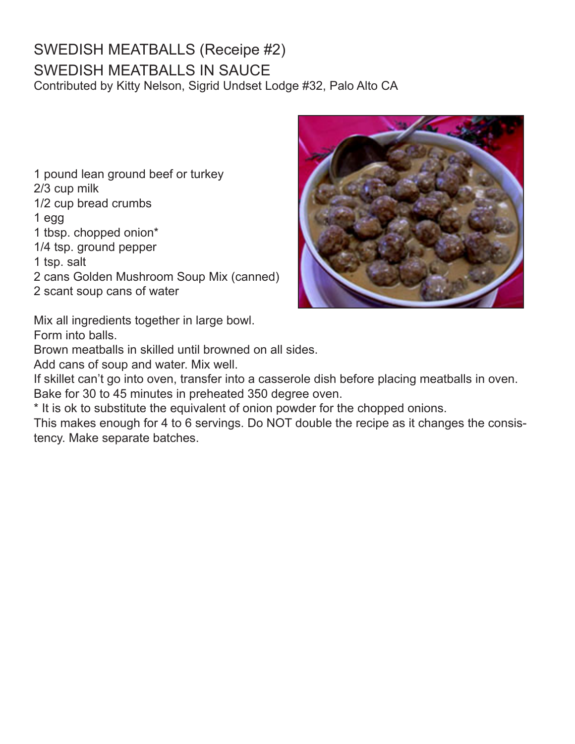#### SWEDISH MEATBALLS (Receipe #2) SWEDISH MEATBALLS IN SAUCE Contributed by Kitty Nelson, Sigrid Undset Lodge #32, Palo Alto CA

1 pound lean ground beef or turkey 2/3 cup milk 1/2 cup bread crumbs 1 egg 1 tbsp. chopped onion\* 1/4 tsp. ground pepper 1 tsp. salt 2 cans Golden Mushroom Soup Mix (canned) 2 scant soup cans of water

Mix all ingredients together in large bowl. Form into balls.

Brown meatballs in skilled until browned on all sides.

Add cans of soup and water. Mix well.

If skillet can't go into oven, transfer into a casserole dish before placing meatballs in oven.

Bake for 30 to 45 minutes in preheated 350 degree oven.

\* It is ok to substitute the equivalent of onion powder for the chopped onions.

This makes enough for 4 to 6 servings. Do NOT double the recipe as it changes the consistency. Make separate batches.

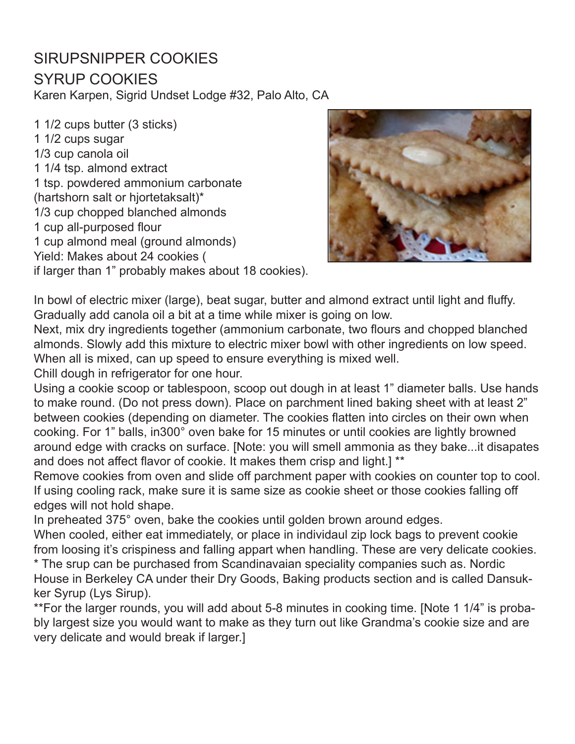# SIRUPSNIPPER COOKIES SYRUP COOKIES Karen Karpen, Sigrid Undset Lodge #32, Palo Alto, CA

1 1/2 cups butter (3 sticks) 1 1/2 cups sugar 1/3 cup canola oil 1 1/4 tsp. almond extract 1 tsp. powdered ammonium carbonate (hartshorn salt or hjortetaksalt)\* 1/3 cup chopped blanched almonds 1 cup all-purposed flour 1 cup almond meal (ground almonds) Yield: Makes about 24 cookies ( if larger than 1" probably makes about 18 cookies).



In bowl of electric mixer (large), beat sugar, butter and almond extract until light and fluffy. Gradually add canola oil a bit at a time while mixer is going on low.

Next, mix dry ingredients together (ammonium carbonate, two flours and chopped blanched almonds. Slowly add this mixture to electric mixer bowl with other ingredients on low speed. When all is mixed, can up speed to ensure everything is mixed well.

Chill dough in refrigerator for one hour.

Using a cookie scoop or tablespoon, scoop out dough in at least 1" diameter balls. Use hands to make round. (Do not press down). Place on parchment lined baking sheet with at least 2" between cookies (depending on diameter. The cookies flatten into circles on their own when cooking. For 1" balls, in300° oven bake for 15 minutes or until cookies are lightly browned around edge with cracks on surface. [Note: you will smell ammonia as they bake...it disapates and does not affect flavor of cookie. It makes them crisp and light.] \*\*

Remove cookies from oven and slide off parchment paper with cookies on counter top to cool. If using cooling rack, make sure it is same size as cookie sheet or those cookies falling off edges will not hold shape.

In preheated 375° oven, bake the cookies until golden brown around edges.

When cooled, either eat immediately, or place in individaul zip lock bags to prevent cookie from loosing it's crispiness and falling appart when handling. These are very delicate cookies.

\* The srup can be purchased from Scandinavaian speciality companies such as. Nordic House in Berkeley CA under their Dry Goods, Baking products section and is called Dansukker Syrup (Lys Sirup).

\*\*For the larger rounds, you will add about 5-8 minutes in cooking time. [Note 1 1/4" is probably largest size you would want to make as they turn out like Grandma's cookie size and are very delicate and would break if larger.]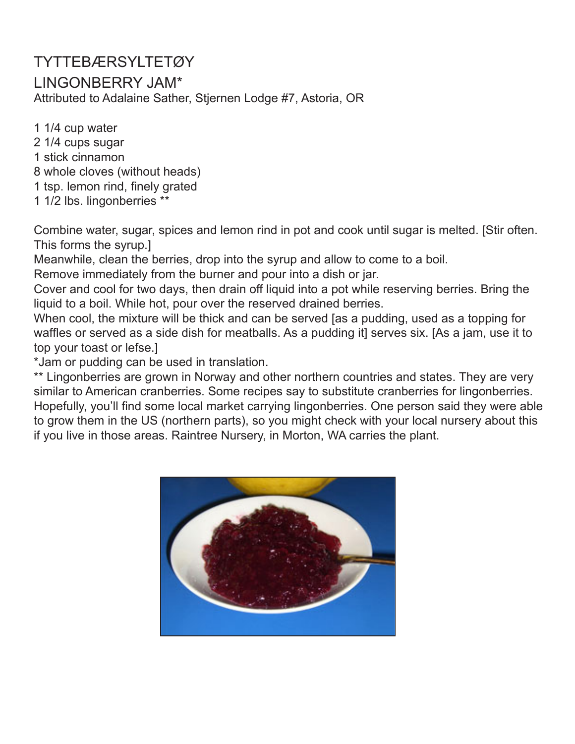# TYTTEBÆRSYLTETØY LINGONBERRY JAM\* Attributed to Adalaine Sather, Stjernen Lodge #7, Astoria, OR

1 1/4 cup water 2 1/4 cups sugar 1 stick cinnamon 8 whole cloves (without heads) 1 tsp. lemon rind, finely grated 1 1/2 lbs. lingonberries \*\*

Combine water, sugar, spices and lemon rind in pot and cook until sugar is melted. [Stir often. This forms the syrup.]

Meanwhile, clean the berries, drop into the syrup and allow to come to a boil.

Remove immediately from the burner and pour into a dish or jar.

Cover and cool for two days, then drain off liquid into a pot while reserving berries. Bring the liquid to a boil. While hot, pour over the reserved drained berries.

When cool, the mixture will be thick and can be served [as a pudding, used as a topping for waffles or served as a side dish for meatballs. As a pudding it] serves six. [As a jam, use it to top your toast or lefse.]

\*Jam or pudding can be used in translation.

\*\* Lingonberries are grown in Norway and other northern countries and states. They are very similar to American cranberries. Some recipes say to substitute cranberries for lingonberries. Hopefully, you'll find some local market carrying lingonberries. One person said they were able to grow them in the US (northern parts), so you might check with your local nursery about this if you live in those areas. Raintree Nursery, in Morton, WA carries the plant.

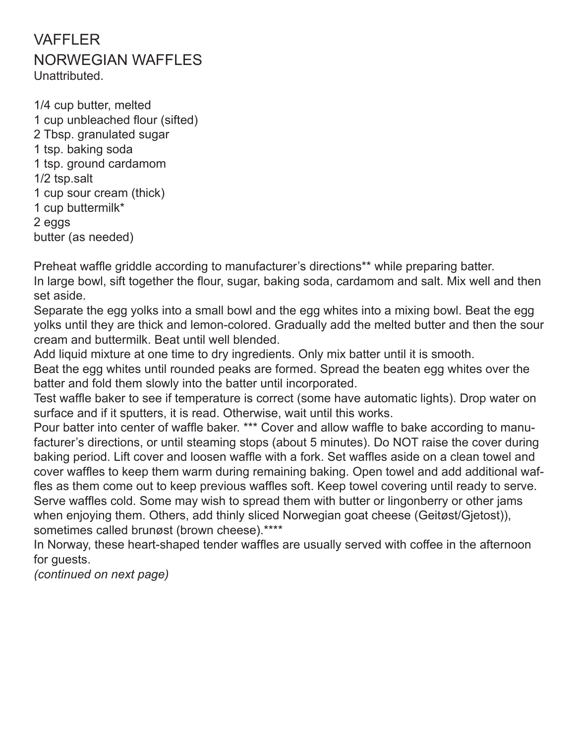#### VAFFLER NORWEGIAN WAFFLES Unattributed.

1/4 cup butter, melted 1 cup unbleached flour (sifted) 2 Tbsp. granulated sugar 1 tsp. baking soda 1 tsp. ground cardamom 1/2 tsp.salt 1 cup sour cream (thick) 1 cup buttermilk\* 2 eggs butter (as needed)

Preheat waffle griddle according to manufacturer's directions\*\* while preparing batter. In large bowl, sift together the flour, sugar, baking soda, cardamom and salt. Mix well and then set aside.

Separate the egg yolks into a small bowl and the egg whites into a mixing bowl. Beat the egg yolks until they are thick and lemon-colored. Gradually add the melted butter and then the sour cream and buttermilk. Beat until well blended.

Add liquid mixture at one time to dry ingredients. Only mix batter until it is smooth.

Beat the egg whites until rounded peaks are formed. Spread the beaten egg whites over the batter and fold them slowly into the batter until incorporated.

Test waffle baker to see if temperature is correct (some have automatic lights). Drop water on surface and if it sputters, it is read. Otherwise, wait until this works.

Pour batter into center of waffle baker. \*\*\* Cover and allow waffle to bake according to manufacturer's directions, or until steaming stops (about 5 minutes). Do NOT raise the cover during baking period. Lift cover and loosen waffle with a fork. Set waffles aside on a clean towel and cover waffles to keep them warm during remaining baking. Open towel and add additional waffles as them come out to keep previous waffles soft. Keep towel covering until ready to serve. Serve waffles cold. Some may wish to spread them with butter or lingonberry or other jams when enjoying them. Others, add thinly sliced Norwegian goat cheese (Geitøst/Gjetost)), sometimes called brunøst (brown cheese).\*\*\*\*

In Norway, these heart-shaped tender waffles are usually served with coffee in the afternoon for guests.

*(continued on next page)*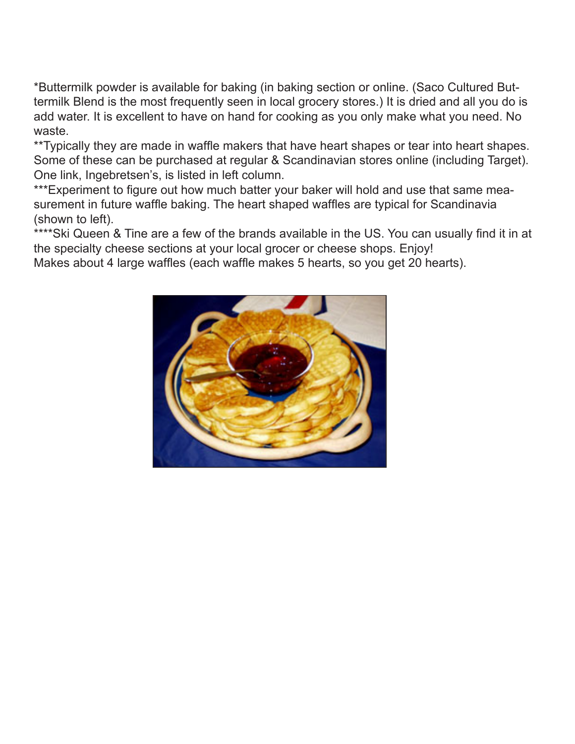\*Buttermilk powder is available for baking (in baking section or online. (Saco Cultured Buttermilk Blend is the most frequently seen in local grocery stores.) It is dried and all you do is add water. It is excellent to have on hand for cooking as you only make what you need. No waste.

\*\*Typically they are made in waffle makers that have heart shapes or tear into heart shapes. Some of these can be purchased at regular & Scandinavian stores online (including Target). One link, Ingebretsen's, is listed in left column.

\*\*\*Experiment to figure out how much batter your baker will hold and use that same measurement in future waffle baking. The heart shaped waffles are typical for Scandinavia (shown to left).

\*\*\*\*Ski Queen & Tine are a few of the brands available in the US. You can usually find it in at the specialty cheese sections at your local grocer or cheese shops. Enjoy!

Makes about 4 large waffles (each waffle makes 5 hearts, so you get 20 hearts).